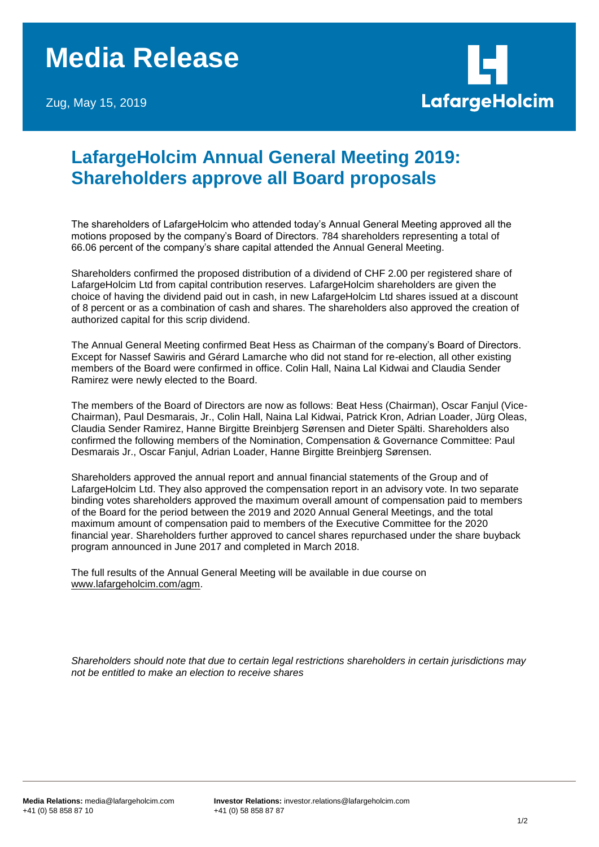## **Media Release**

Zug, May 15, 2019



## **LafargeHolcim Annual General Meeting 2019: Shareholders approve all Board proposals**

The shareholders of LafargeHolcim who attended today's Annual General Meeting approved all the motions proposed by the company's Board of Directors. 784 shareholders representing a total of 66.06 percent of the company's share capital attended the Annual General Meeting.

Shareholders confirmed the proposed distribution of a dividend of CHF 2.00 per registered share of LafargeHolcim Ltd from capital contribution reserves. LafargeHolcim shareholders are given the choice of having the dividend paid out in cash, in new LafargeHolcim Ltd shares issued at a discount of 8 percent or as a combination of cash and shares. The shareholders also approved the creation of authorized capital for this scrip dividend.

The Annual General Meeting confirmed Beat Hess as Chairman of the company's Board of Directors. Except for Nassef Sawiris and Gérard Lamarche who did not stand for re-election, all other existing members of the Board were confirmed in office. Colin Hall, Naina Lal Kidwai and Claudia Sender Ramirez were newly elected to the Board.

The members of the Board of Directors are now as follows: Beat Hess (Chairman), Oscar Fanjul (Vice-Chairman), Paul Desmarais, Jr., Colin Hall, Naina Lal Kidwai, Patrick Kron, Adrian Loader, Jürg Oleas, Claudia Sender Ramirez, Hanne Birgitte Breinbjerg Sørensen and Dieter Spälti. Shareholders also confirmed the following members of the Nomination, Compensation & Governance Committee: Paul Desmarais Jr., Oscar Fanjul, Adrian Loader, Hanne Birgitte Breinbjerg Sørensen.

Shareholders approved the annual report and annual financial statements of the Group and of LafargeHolcim Ltd. They also approved the compensation report in an advisory vote. In two separate binding votes shareholders approved the maximum overall amount of compensation paid to members of the Board for the period between the 2019 and 2020 Annual General Meetings, and the total maximum amount of compensation paid to members of the Executive Committee for the 2020 financial year. Shareholders further approved to cancel shares repurchased under the share buyback program announced in June 2017 and completed in March 2018.

The full results of the Annual General Meeting will be available in due course on [www.lafargeholcim.com/agm.](http://www.lafargeholcim.com/agm)

*Shareholders should note that due to certain legal restrictions shareholders in certain jurisdictions may not be entitled to make an election to receive shares*